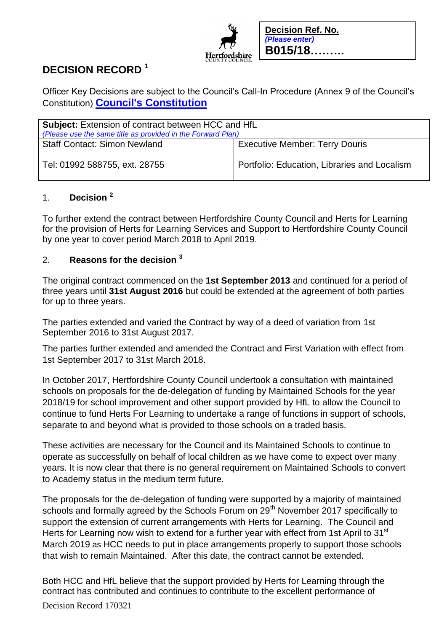

# **DECISION RECORD <sup>1</sup>**

Officer Key Decisions are subject to the Council's Call-In Procedure (Annex 9 of the Council's Constitution) **[Council's Constitution](https://www.hertfordshire.gov.uk/about-the-council/freedom-of-information-and-council-data/open-data-statistics-about-hertfordshire/who-we-are-and-what-we-do/who-we-are-and-what-we-do.aspx)**

| <b>Subject:</b> Extension of contract between HCC and HfL<br>(Please use the same title as provided in the Forward Plan) |                                              |
|--------------------------------------------------------------------------------------------------------------------------|----------------------------------------------|
| <b>Staff Contact: Simon Newland</b>                                                                                      | <b>Executive Member: Terry Douris</b>        |
| Tel: 01992 588755, ext. 28755                                                                                            | Portfolio: Education, Libraries and Localism |

## 1. **Decision <sup>2</sup>**

To further extend the contract between Hertfordshire County Council and Herts for Learning for the provision of Herts for Learning Services and Support to Hertfordshire County Council by one year to cover period March 2018 to April 2019.

### 2. **Reasons for the decision <sup>3</sup>**

The original contract commenced on the **1st September 2013** and continued for a period of three years until **31st August 2016** but could be extended at the agreement of both parties for up to three years.

The parties extended and varied the Contract by way of a deed of variation from 1st September 2016 to 31st August 2017.

The parties further extended and amended the Contract and First Variation with effect from 1st September 2017 to 31st March 2018.

In October 2017, Hertfordshire County Council undertook a consultation with maintained schools on proposals for the de-delegation of funding by Maintained Schools for the year 2018/19 for school improvement and other support provided by HfL to allow the Council to continue to fund Herts For Learning to undertake a range of functions in support of schools, separate to and beyond what is provided to those schools on a traded basis.

These activities are necessary for the Council and its Maintained Schools to continue to operate as successfully on behalf of local children as we have come to expect over many years. It is now clear that there is no general requirement on Maintained Schools to convert to Academy status in the medium term future.

The proposals for the de-delegation of funding were supported by a majority of maintained schools and formally agreed by the Schools Forum on 29<sup>th</sup> November 2017 specifically to support the extension of current arrangements with Herts for Learning. The Council and Herts for Learning now wish to extend for a further year with effect from 1st April to 31<sup>st</sup> March 2019 as HCC needs to put in place arrangements properly to support those schools that wish to remain Maintained. After this date, the contract cannot be extended.

Both HCC and HfL believe that the support provided by Herts for Learning through the contract has contributed and continues to contribute to the excellent performance of